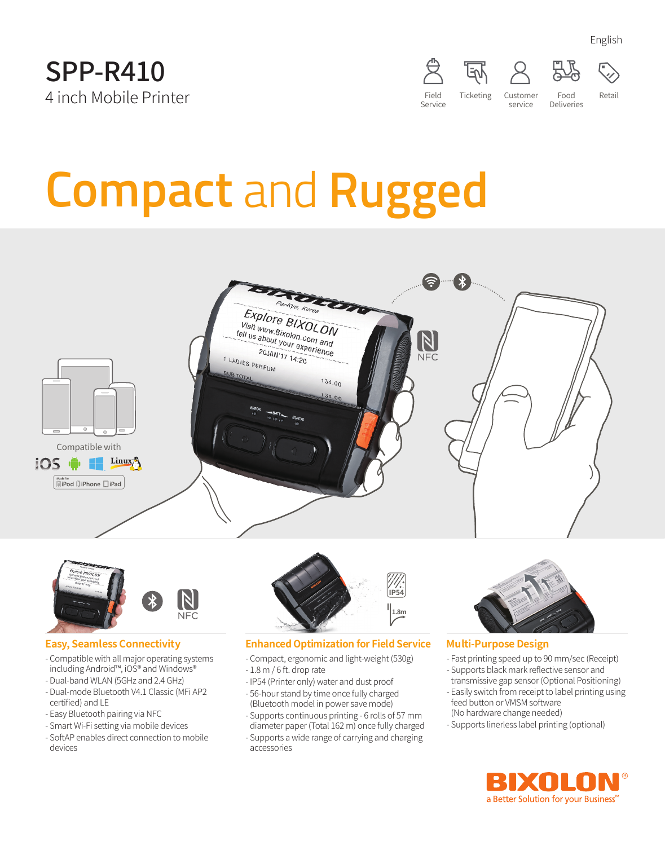



# **Compact** and **Rugged**





#### **Easy, Seamless Connectivity**

- Compatible with all major operating systems including Android™, iOS® and Windows®
- Dual-band WLAN (5GHz and 2.4 GHz) - Dual-mode Bluetooth V4.1 Classic (MFi AP2
- certified) and LE
- Easy Bluetooth pairing via NFC
- Smart Wi-Fi setting via mobile devices
- SoftAP enables direct connection to mobile devices



#### **Enhanced Optimization for Field Service**

- Compact, ergonomic and light-weight (530g)
- 1.8 m / 6 ft. drop rate
- IP54 (Printer only) water and dust proof
- 56-hour stand by time once fully charged (Bluetooth model in power save mode)
- Supports continuous printing 6 rolls of 57 mm diameter paper (Total 162 m) once fully charged
- Supports a wide range of carrying and charging accessories



#### **Multi-Purpose Design**

- Fast printing speed up to 90 mm/sec (Receipt)
- Supports black mark reflective sensor and
- transmissive gap sensor (Optional Positioning) - Easily switch from receipt to label printing using feed button or VMSM software
- (No hardware change needed)
- Supports linerless label printing (optional)



English